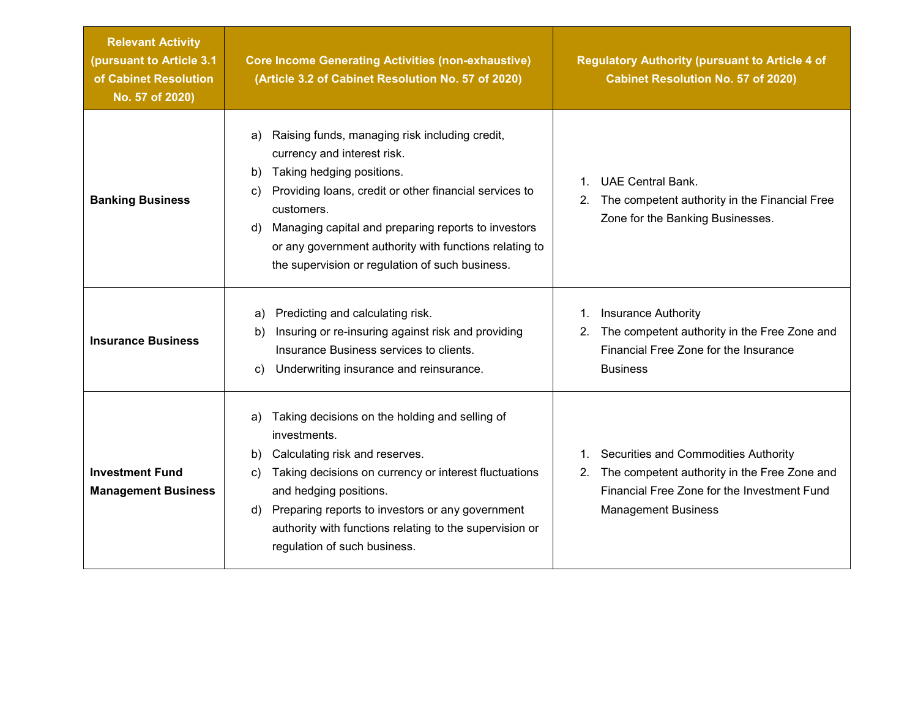| <b>Relevant Activity</b><br>(pursuant to Article 3.1<br>of Cabinet Resolution<br>No. 57 of 2020) | <b>Core Income Generating Activities (non-exhaustive)</b><br>(Article 3.2 of Cabinet Resolution No. 57 of 2020)                                                                                                                                                                                                                                                                | <b>Regulatory Authority (pursuant to Article 4 of</b><br><b>Cabinet Resolution No. 57 of 2020)</b>                                                                                     |
|--------------------------------------------------------------------------------------------------|--------------------------------------------------------------------------------------------------------------------------------------------------------------------------------------------------------------------------------------------------------------------------------------------------------------------------------------------------------------------------------|----------------------------------------------------------------------------------------------------------------------------------------------------------------------------------------|
| <b>Banking Business</b>                                                                          | Raising funds, managing risk including credit,<br>a)<br>currency and interest risk.<br>Taking hedging positions.<br>b)<br>Providing loans, credit or other financial services to<br>C)<br>customers.<br>Managing capital and preparing reports to investors<br>d)<br>or any government authority with functions relating to<br>the supervision or regulation of such business. | <b>UAE Central Bank.</b><br>$\mathbf{1}$<br>The competent authority in the Financial Free<br>2.<br>Zone for the Banking Businesses.                                                    |
| <b>Insurance Business</b>                                                                        | Predicting and calculating risk.<br>a)<br>Insuring or re-insuring against risk and providing<br>b)<br>Insurance Business services to clients.<br>Underwriting insurance and reinsurance.<br>C)                                                                                                                                                                                 | <b>Insurance Authority</b><br>$1_{\cdot}$<br>The competent authority in the Free Zone and<br>2.<br>Financial Free Zone for the Insurance<br><b>Business</b>                            |
| <b>Investment Fund</b><br><b>Management Business</b>                                             | Taking decisions on the holding and selling of<br>a)<br>investments.<br>Calculating risk and reserves.<br>b)<br>Taking decisions on currency or interest fluctuations<br>C)<br>and hedging positions.<br>Preparing reports to investors or any government<br>d)<br>authority with functions relating to the supervision or<br>regulation of such business.                     | Securities and Commodities Authority<br>$1_{\cdot}$<br>The competent authority in the Free Zone and<br>2.<br>Financial Free Zone for the Investment Fund<br><b>Management Business</b> |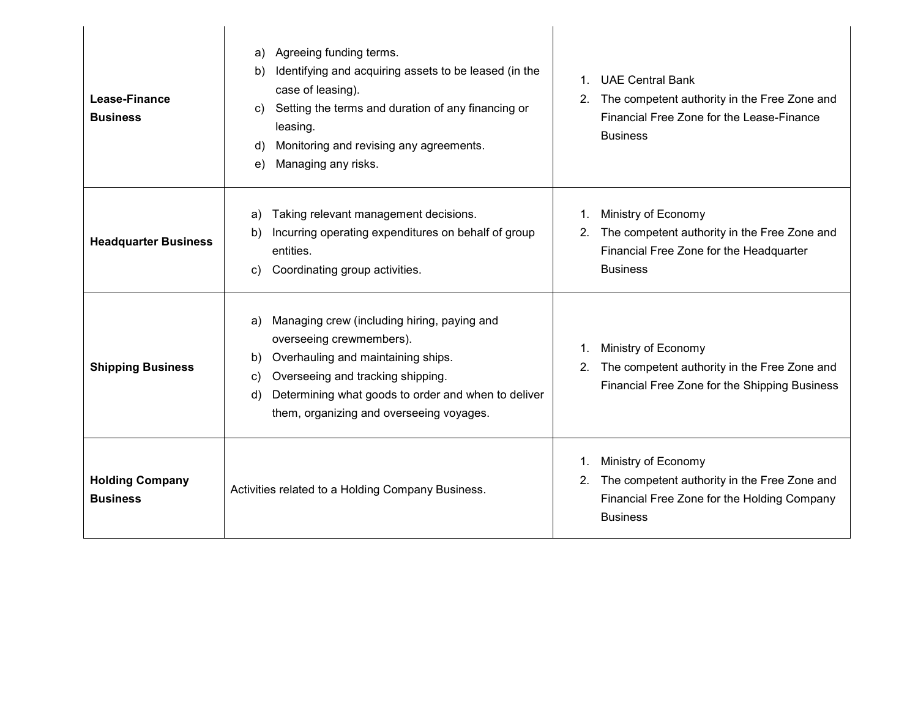| Lease-Finance<br><b>Business</b>          | Agreeing funding terms.<br>a)<br>Identifying and acquiring assets to be leased (in the<br>b)<br>case of leasing).<br>Setting the terms and duration of any financing or<br>C)<br>leasing.<br>Monitoring and revising any agreements.<br>d)<br>Managing any risks.<br>e)       | <b>UAE Central Bank</b><br>$\mathbf{1}$<br>The competent authority in the Free Zone and<br>2.<br>Financial Free Zone for the Lease-Finance<br><b>Business</b> |
|-------------------------------------------|-------------------------------------------------------------------------------------------------------------------------------------------------------------------------------------------------------------------------------------------------------------------------------|---------------------------------------------------------------------------------------------------------------------------------------------------------------|
| <b>Headquarter Business</b>               | Taking relevant management decisions.<br>a)<br>Incurring operating expenditures on behalf of group<br>b)<br>entities.<br>Coordinating group activities.<br>C)                                                                                                                 | Ministry of Economy<br>1.<br>2. The competent authority in the Free Zone and<br>Financial Free Zone for the Headquarter<br><b>Business</b>                    |
| <b>Shipping Business</b>                  | Managing crew (including hiring, paying and<br>a)<br>overseeing crewmembers).<br>Overhauling and maintaining ships.<br>b)<br>Overseeing and tracking shipping.<br>C)<br>Determining what goods to order and when to deliver<br>d)<br>them, organizing and overseeing voyages. | Ministry of Economy<br>1.<br>The competent authority in the Free Zone and<br>2.<br>Financial Free Zone for the Shipping Business                              |
| <b>Holding Company</b><br><b>Business</b> | Activities related to a Holding Company Business.                                                                                                                                                                                                                             | Ministry of Economy<br>1.<br>The competent authority in the Free Zone and<br>2.<br>Financial Free Zone for the Holding Company<br><b>Business</b>             |